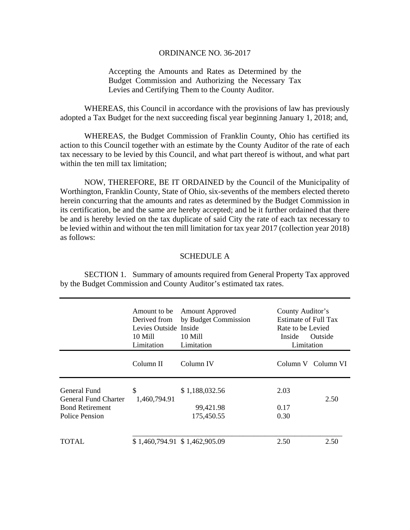## ORDINANCE NO. 36-2017

Accepting the Amounts and Rates as Determined by the Budget Commission and Authorizing the Necessary Tax Levies and Certifying Them to the County Auditor.

 WHEREAS, this Council in accordance with the provisions of law has previously adopted a Tax Budget for the next succeeding fiscal year beginning January 1, 2018; and,

 WHEREAS, the Budget Commission of Franklin County, Ohio has certified its action to this Council together with an estimate by the County Auditor of the rate of each tax necessary to be levied by this Council, and what part thereof is without, and what part within the ten mill tax limitation;

 NOW, THEREFORE, BE IT ORDAINED by the Council of the Municipality of Worthington, Franklin County, State of Ohio, six-sevenths of the members elected thereto herein concurring that the amounts and rates as determined by the Budget Commission in its certification, be and the same are hereby accepted; and be it further ordained that there be and is hereby levied on the tax duplicate of said City the rate of each tax necessary to be levied within and without the ten mill limitation for tax year 2017 (collection year 2018) as follows:

## SCHEDULE A

 SECTION 1. Summary of amounts required from General Property Tax approved by the Budget Commission and County Auditor's estimated tax rates.

|                                                                                  | Amount to be<br>Derived from<br>Levies Outside Inside<br>10 Mill<br>Limitation | <b>Amount Approved</b><br>by Budget Commission<br>10 Mill<br>Limitation | County Auditor's<br>Estimate of Full Tax<br>Rate to be Levied<br>Inside<br>Limitation | Outside            |
|----------------------------------------------------------------------------------|--------------------------------------------------------------------------------|-------------------------------------------------------------------------|---------------------------------------------------------------------------------------|--------------------|
|                                                                                  | Column II                                                                      | Column IV                                                               |                                                                                       | Column V Column VI |
| General Fund<br>General Fund Charter<br><b>Bond Retirement</b><br>Police Pension | \$<br>1,460,794.91                                                             | \$1,188,032.56<br>99,421.98<br>175,450.55                               | 2.03<br>0.17<br>0.30                                                                  | 2.50               |
| TOTAL.                                                                           |                                                                                | \$1,460,794.91 \$1,462,905.09                                           | 2.50                                                                                  | 2.50               |